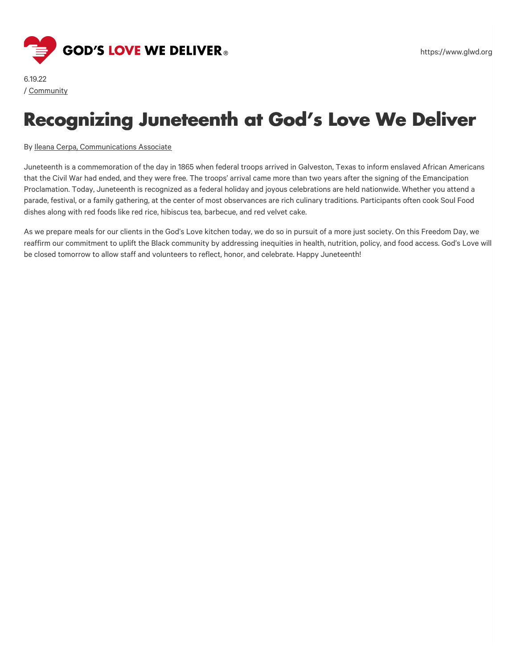

6.19.22 / [Community](https://www.glwd.org/blog/?cat=community)

# **Recognizing Juneteenth at God's Love We Deliver**

#### By Ileana Cerpa, [Communications](https://www.glwd.org/blog/?post-author=ileana-cerpa) Associate

Juneteenth is a commemoration of the day in 1865 when federal troops arrived in Galveston, Texas to inform enslaved African Americans that the Civil War had ended, and they were free. The troops' arrival came more than two years after the signing of the Emancipation Proclamation. Today, Juneteenth is recognized as a federal holiday and joyous celebrations are held nationwide. Whether you attend a parade, festival, or a family gathering, at the center of most observances are rich culinary traditions. Participants often cook Soul Food dishes along with red foods like red rice, hibiscus tea, barbecue, and red velvet cake.

As we prepare meals for our clients in the God's Love kitchen today, we do so in pursuit of a more just society. On this Freedom Day, we reaffirm our commitment to uplift the Black community by addressing inequities in health, nutrition, policy, and food access. God's Love will be closed tomorrow to allow staff and volunteers to reflect, honor, and celebrate. Happy Juneteenth!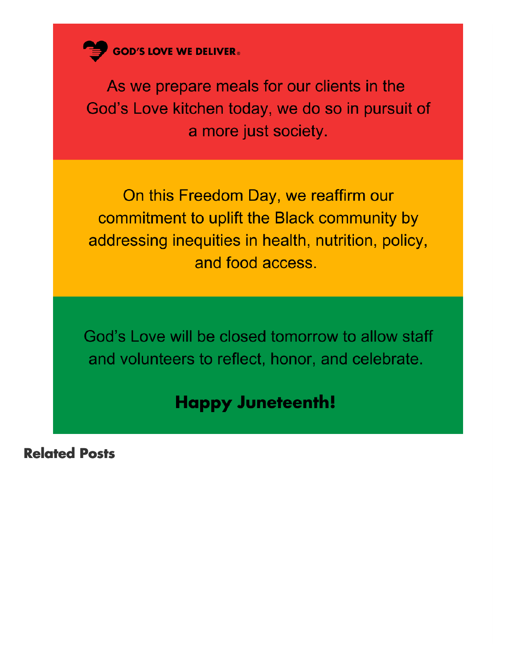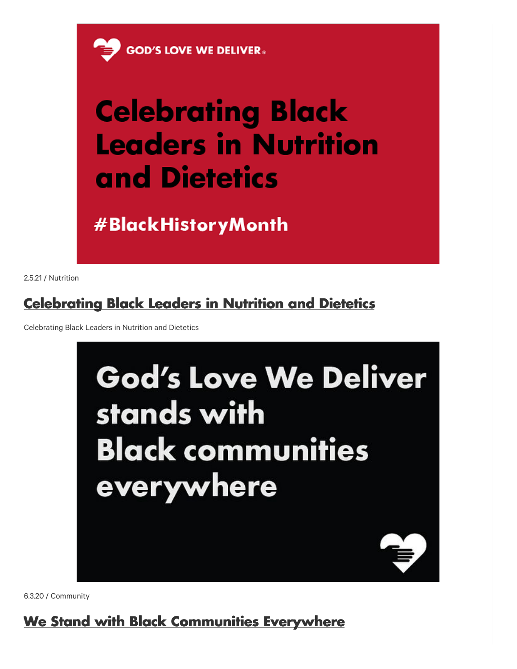

# **Celebrating Black Leaders in Nutrition** and Dietetics

# #BlackHistoryMonth

2.5.21 / Nutrition

### **[Celebrating](https://www.glwd.org/blog/black-leaders-in-nutrition-and-dietetics/) Black Leaders in Nutrition and Dietetics**

Celebrating Black Leaders in Nutrition and Dietetics



6.3.20 / Community

#### **We Stand with Black [Communities](https://www.glwd.org/blog/we-stand-with-black-communities-everywhere/) Everywhere**